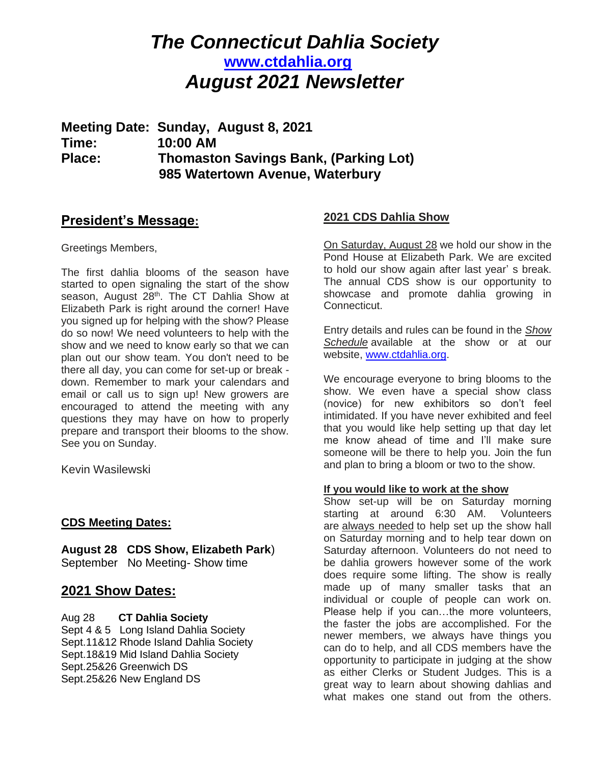# *The Connecticut Dahlia Society* **[www.ctdahlia.org](http://www.ctdahlia.org/)** *August 2021 Newsletter*

**Meeting Date: Sunday, August 8, 2021 Time: 10:00 AM Place: Thomaston Savings Bank, (Parking Lot) 985 Watertown Avenue, Waterbury** 

## **President's Message:**

Greetings Members,

The first dahlia blooms of the season have started to open signaling the start of the show season, August 28<sup>th</sup>. The CT Dahlia Show at Elizabeth Park is right around the corner! Have you signed up for helping with the show? Please do so now! We need volunteers to help with the show and we need to know early so that we can plan out our show team. You don't need to be there all day, you can come for set-up or break down. Remember to mark your calendars and email or call us to sign up! New growers are encouraged to attend the meeting with any questions they may have on how to properly prepare and transport their blooms to the show. See you on Sunday.

Kevin Wasilewski

### **CDS Meeting Dates:**

**August 28 CDS Show, Elizabeth Park**) September No Meeting- Show time

# **2021 Show Dates:**

#### Aug 28 **CT Dahlia Society**

Sept 4 & 5 Long Island Dahlia Society Sept.11&12 Rhode Island Dahlia Society Sept.18&19 Mid Island Dahlia Society Sept.25&26 Greenwich DS Sept.25&26 New England DS

## **2021 CDS Dahlia Show**

On Saturday, August 28 we hold our show in the Pond House at Elizabeth Park. We are excited to hold our show again after last year' s break. The annual CDS show is our opportunity to showcase and promote dahlia growing in Connecticut.

Entry details and rules can be found in the *Show Schedule* available at the show or at our website, [www.ctdahlia.org.](http://www.ctdahlia.org/)

We encourage everyone to bring blooms to the show. We even have a special show class (novice) for new exhibitors so don't feel intimidated. If you have never exhibited and feel that you would like help setting up that day let me know ahead of time and I'll make sure someone will be there to help you. Join the fun and plan to bring a bloom or two to the show.

#### **If you would like to work at the show**

Show set-up will be on Saturday morning starting at around 6:30 AM. Volunteers are always needed to help set up the show hall on Saturday morning and to help tear down on Saturday afternoon. Volunteers do not need to be dahlia growers however some of the work does require some lifting. The show is really made up of many smaller tasks that an individual or couple of people can work on. Please help if you can…the more volunteers, the faster the jobs are accomplished. For the newer members, we always have things you can do to help, and all CDS members have the opportunity to participate in judging at the show as either Clerks or Student Judges. This is a great way to learn about showing dahlias and what makes one stand out from the others.